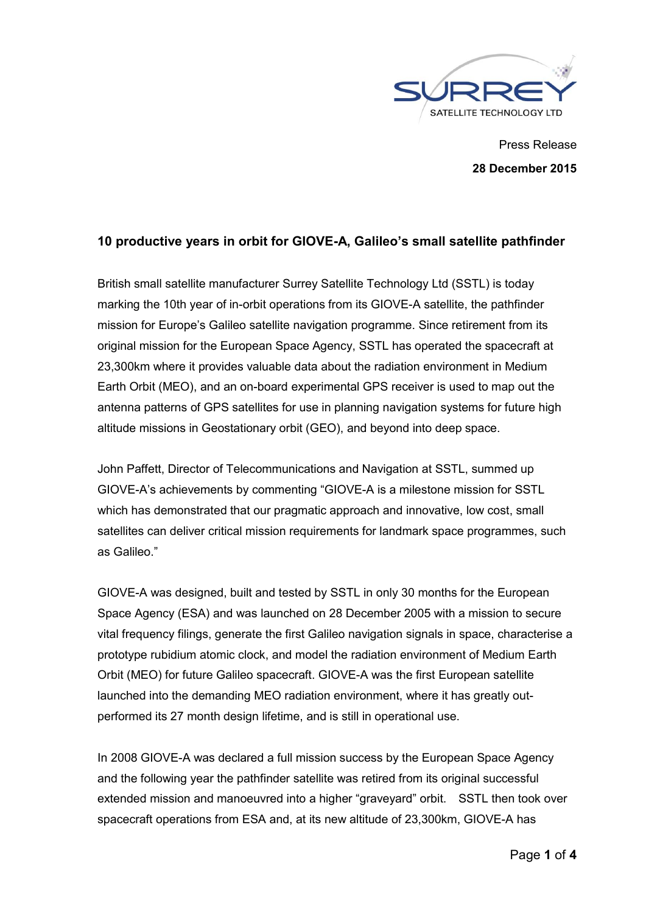

Press Release **28 December 2015**

## **10 productive years in orbit for GIOVE-A, Galileo's small satellite pathfinder**

British small satellite manufacturer Surrey Satellite Technology Ltd (SSTL) is today marking the 10th year of in-orbit operations from its GIOVE-A satellite, the pathfinder mission for Europe's Galileo satellite navigation programme. Since retirement from its original mission for the European Space Agency, SSTL has operated the spacecraft at 23,300km where it provides valuable data about the radiation environment in Medium Earth Orbit (MEO), and an on-board experimental GPS receiver is used to map out the antenna patterns of GPS satellites for use in planning navigation systems for future high altitude missions in Geostationary orbit (GEO), and beyond into deep space.

John Paffett, Director of Telecommunications and Navigation at SSTL, summed up GIOVE-A's achievements by commenting "GIOVE-A is a milestone mission for SSTL which has demonstrated that our pragmatic approach and innovative, low cost, small satellites can deliver critical mission requirements for landmark space programmes, such as Galileo."

GIOVE-A was designed, built and tested by SSTL in only 30 months for the European Space Agency (ESA) and was launched on 28 December 2005 with a mission to secure vital frequency filings, generate the first Galileo navigation signals in space, characterise a prototype rubidium atomic clock, and model the radiation environment of Medium Earth Orbit (MEO) for future Galileo spacecraft. GIOVE-A was the first European satellite launched into the demanding MEO radiation environment, where it has greatly outperformed its 27 month design lifetime, and is still in operational use.

In 2008 GIOVE-A was declared a full mission success by the European Space Agency and the following year the pathfinder satellite was retired from its original successful extended mission and manoeuvred into a higher "graveyard" orbit. SSTL then took over spacecraft operations from ESA and, at its new altitude of 23,300km, GIOVE-A has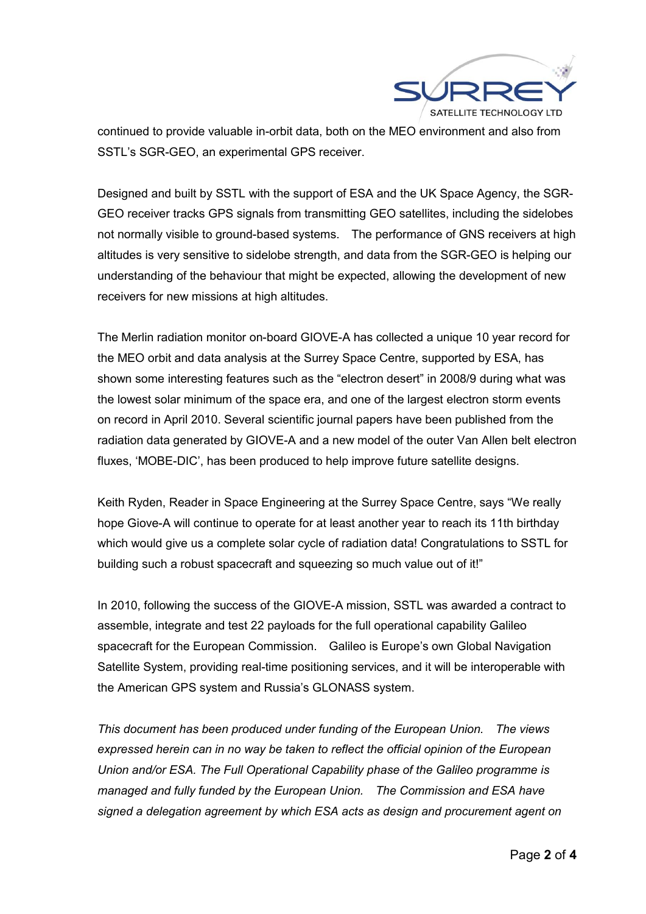

continued to provide valuable in-orbit data, both on the MEO environment and also from SSTL's SGR-GEO, an experimental GPS receiver.

Designed and built by SSTL with the support of ESA and the UK Space Agency, the SGR-GEO receiver tracks GPS signals from transmitting GEO satellites, including the sidelobes not normally visible to ground-based systems. The performance of GNS receivers at high altitudes is very sensitive to sidelobe strength, and data from the SGR-GEO is helping our understanding of the behaviour that might be expected, allowing the development of new receivers for new missions at high altitudes.

The Merlin radiation monitor on-board GIOVE-A has collected a unique 10 year record for the MEO orbit and data analysis at the Surrey Space Centre, supported by ESA, has shown some interesting features such as the "electron desert" in 2008/9 during what was the lowest solar minimum of the space era, and one of the largest electron storm events on record in April 2010. Several scientific journal papers have been published from the radiation data generated by GIOVE-A and a new model of the outer Van Allen belt electron fluxes, 'MOBE-DIC', has been produced to help improve future satellite designs.

Keith Ryden, Reader in Space Engineering at the Surrey Space Centre, says "We really hope Giove-A will continue to operate for at least another year to reach its 11th birthday which would give us a complete solar cycle of radiation data! Congratulations to SSTL for building such a robust spacecraft and squeezing so much value out of it!"

In 2010, following the success of the GIOVE-A mission, SSTL was awarded a contract to assemble, integrate and test 22 payloads for the full operational capability Galileo spacecraft for the European Commission. Galileo is Europe's own Global Navigation Satellite System, providing real-time positioning services, and it will be interoperable with the American GPS system and Russia's GLONASS system.

*This document has been produced under funding of the European Union. The views expressed herein can in no way be taken to reflect the official opinion of the European Union and/or ESA. The Full Operational Capability phase of the Galileo programme is managed and fully funded by the European Union. The Commission and ESA have signed a delegation agreement by which ESA acts as design and procurement agent on*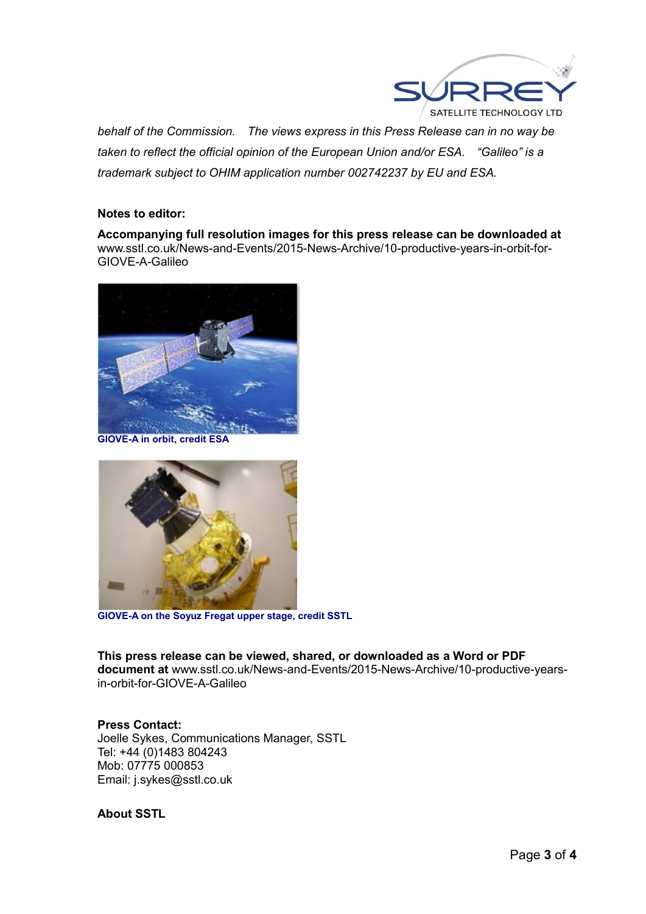

*behalf of the Commission. The views express in this Press Release can in no way be taken to reflect the official opinion of the European Union and/or ESA. "Galileo" is a trademark subject to OHIM application number 002742237 by EU and ESA.* 

## **Notes to editor:**

**Accompanying full resolution images for this press release can be downloaded at**  www.sstl.co.uk/News-and-Events/2015-News-Archive/10-productive-years-in-orbit-for-GIOVE-A-Galileo



**GIOVE-A in orbit, credit ESA**



**GIOVE-A on the Soyuz Fregat upper stage, credit SSTL**

**This press release can be viewed, shared, or downloaded as a Word or PDF document at** www.sstl.co.uk/News-and-Events/2015-News-Archive/10-productive-yearsin-orbit-for-GIOVE-A-Galileo

**Press Contact:** Joelle Sykes, Communications Manager, SSTL Tel: +44 (0)1483 804243 Mob: 07775 000853 Email: j.sykes@sstl.co.uk

**About SSTL**